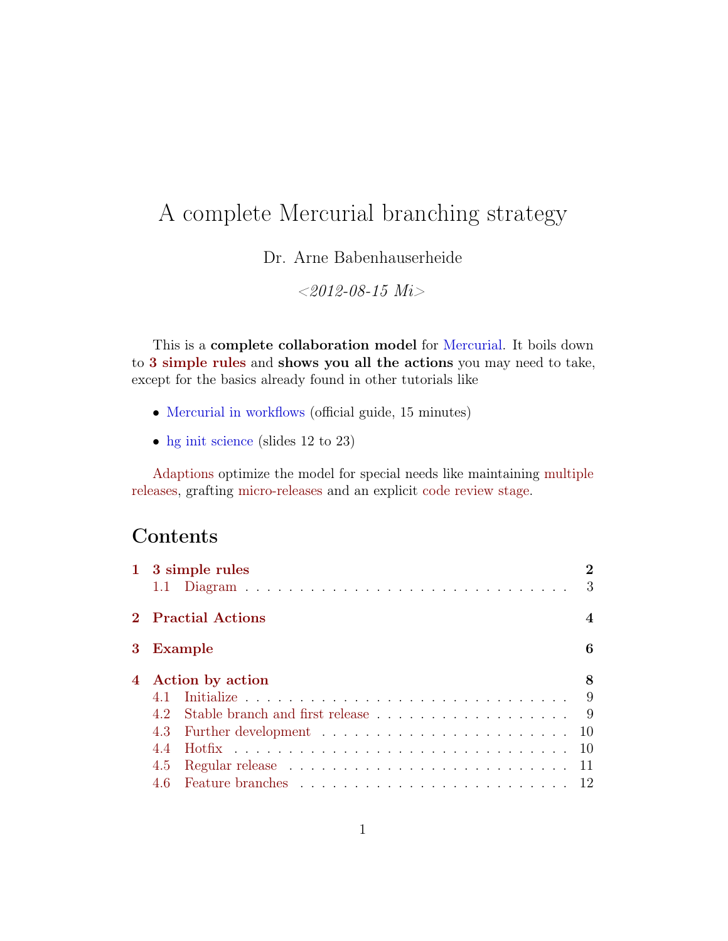# <span id="page-0-0"></span>A complete Mercurial branching strategy

Dr. Arne Babenhauserheide

 $<$ 2012-08-15 Mi $>$ 

This is a complete collaboration model for [Mercurial.](http://mercurial-scm.org) It boils down to [3 simple rules](#page-1-0) and shows you all the actions you may need to take, except for the basics already found in other tutorials like

- [Mercurial in workflows](http://mercurial-scm.org/guide) (official guide, 15 minutes)
- [hg init science](https://bitbucket.org/ArneBab/hg-init-science/downloads/hg-init-science-0.2.5.pdf) (slides 12 to 23)

[Adaptions](#page-14-0) optimize the model for special needs like maintaining [multiple](#page-15-0) [releases,](#page-15-0) grafting [micro-releases](#page-17-0) and an explicit [code review stage.](#page-20-0)

### Contents

|                |                    | 1 3 simple rules                                                     | $\mathbf{2}$<br>3 |
|----------------|--------------------|----------------------------------------------------------------------|-------------------|
|                | 2 Practial Actions |                                                                      |                   |
| 3 <sup>1</sup> | Example            |                                                                      |                   |
| $\overline{4}$ | Action by action   |                                                                      | 8                 |
|                | 4.1                |                                                                      |                   |
|                | 4.2                | Stable branch and first release $\ldots \ldots \ldots \ldots \ldots$ |                   |
|                | 4.3                |                                                                      | -10               |
|                | 4.4                |                                                                      | -10               |
|                | 4.5                |                                                                      | -11               |
|                | 4.6                |                                                                      |                   |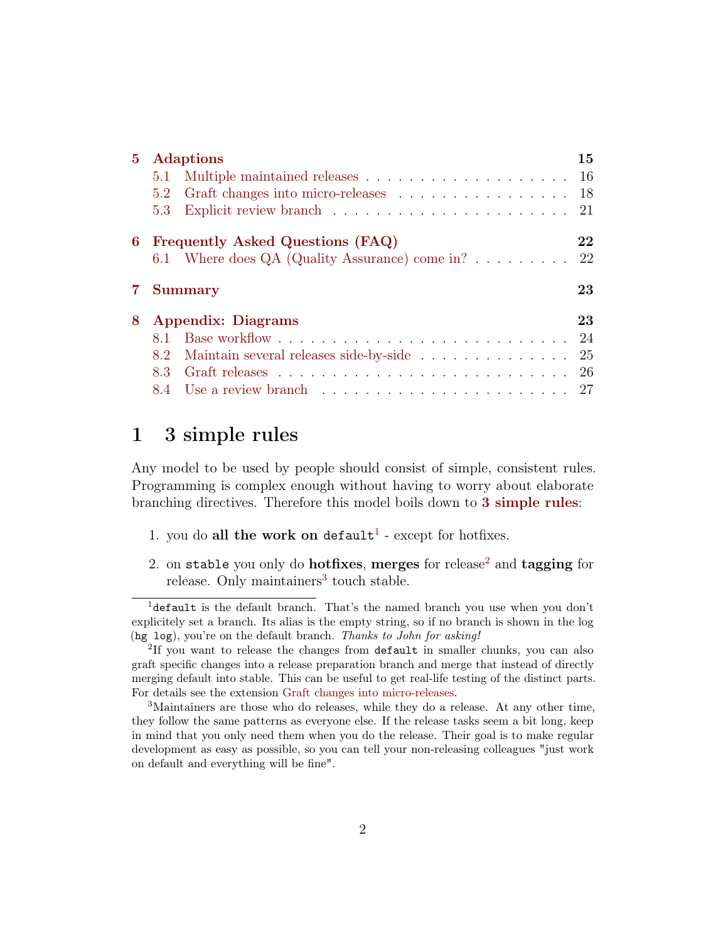| $5^{\circ}$ | <b>Adaptions</b>                                         |  |                |
|-------------|----------------------------------------------------------|--|----------------|
|             | 5.1                                                      |  |                |
|             | Graft changes into micro-releases 18<br>$5.2\phantom{0}$ |  |                |
|             | 5.3                                                      |  |                |
| 6           | Frequently Asked Questions (FAQ)                         |  | 22             |
|             | 6.1 Where does QA (Quality Assurance) come in?           |  | 22             |
|             | <b>Summary</b>                                           |  |                |
|             |                                                          |  |                |
| 8           | <b>Appendix: Diagrams</b>                                |  |                |
|             | 8.1 -                                                    |  | 23<br>23<br>24 |
|             | Maintain several releases side-by-side<br>8.2            |  | 25             |
|             | 8.3                                                      |  | -26            |

### <span id="page-1-0"></span>1 3 simple rules

Any model to be used by people should consist of simple, consistent rules. Programming is complex enough without having to worry about elaborate branching directives. Therefore this model boils down to [3 simple rules](#page-1-0):

- [1](#page-1-1). you do all the work on default<sup>1</sup> except for hotfixes.
- [2](#page-1-2). on stable you only do **hotfixes**, merges for release<sup>2</sup> and **tagging** for release. Only maintainers<sup>[3](#page-1-3)</sup> touch stable.

<span id="page-1-1"></span><sup>&</sup>lt;sup>1</sup>default is the default branch. That's the named branch you use when you don't explicitely set a branch. Its alias is the empty string, so if no branch is shown in the log (hg log), you're on the default branch. Thanks to John for asking!

<span id="page-1-2"></span><sup>&</sup>lt;sup>2</sup>If you want to release the changes from default in smaller chunks, you can also graft specific changes into a release preparation branch and merge that instead of directly merging default into stable. This can be useful to get real-life testing of the distinct parts. For details see the extension [Graft changes into micro-releases.](#page-17-0)

<span id="page-1-3"></span><sup>3</sup>Maintainers are those who do releases, while they do a release. At any other time, they follow the same patterns as everyone else. If the release tasks seem a bit long, keep in mind that you only need them when you do the release. Their goal is to make regular development as easy as possible, so you can tell your non-releasing colleagues "just work on default and everything will be fine".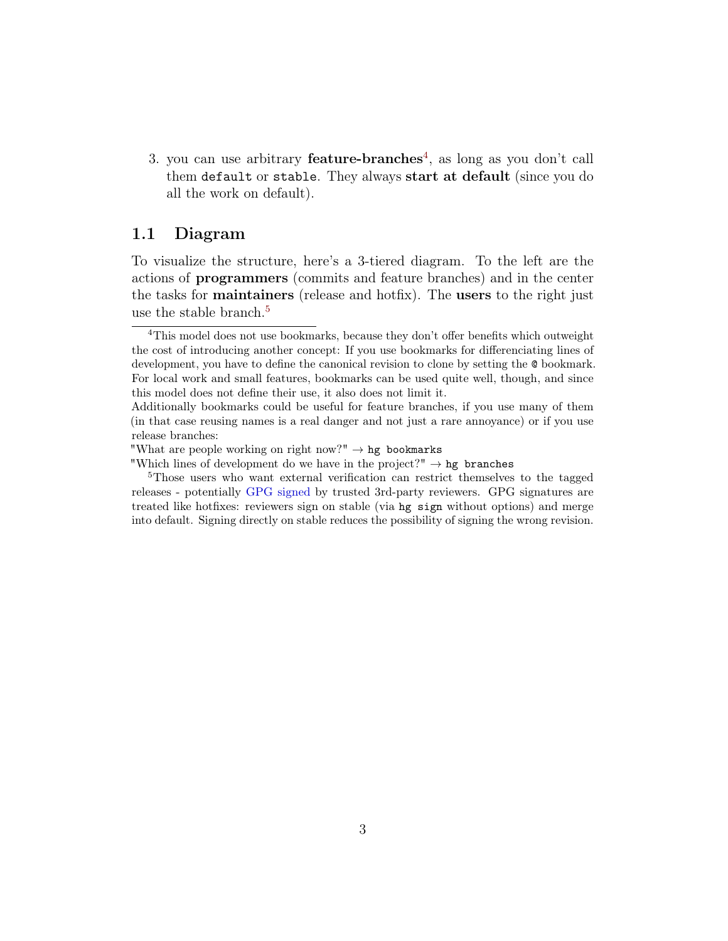3. you can use arbitrary **feature-branches**<sup>[4](#page-2-1)</sup>, as long as you don't call them default or stable. They always start at default (since you do all the work on default).

#### <span id="page-2-0"></span>1.1 Diagram

To visualize the structure, here's a 3-tiered diagram. To the left are the actions of programmers (commits and feature branches) and in the center the tasks for maintainers (release and hotfix). The users to the right just use the stable branch.<sup>[5](#page-2-2)</sup>

<span id="page-2-1"></span><sup>&</sup>lt;sup>4</sup>This model does not use bookmarks, because they don't offer benefits which outweight the cost of introducing another concept: If you use bookmarks for differenciating lines of development, you have to define the canonical revision to clone by setting the @ bookmark. For local work and small features, bookmarks can be used quite well, though, and since this model does not define their use, it also does not limit it.

Additionally bookmarks could be useful for feature branches, if you use many of them (in that case reusing names is a real danger and not just a rare annoyance) or if you use release branches:

<sup>&</sup>quot;What are people working on right now?"  $\rightarrow$  hg bookmarks

<sup>&</sup>quot;Which lines of development do we have in the project?"  $\rightarrow$  hg branches

<span id="page-2-2"></span><sup>&</sup>lt;sup>5</sup>Those users who want external verification can restrict themselves to the tagged releases - potentially [GPG signed](http://mercurial.selenic.com/wiki/GpgExtension) by trusted 3rd-party reviewers. GPG signatures are treated like hotfixes: reviewers sign on stable (via hg sign without options) and merge into default. Signing directly on stable reduces the possibility of signing the wrong revision.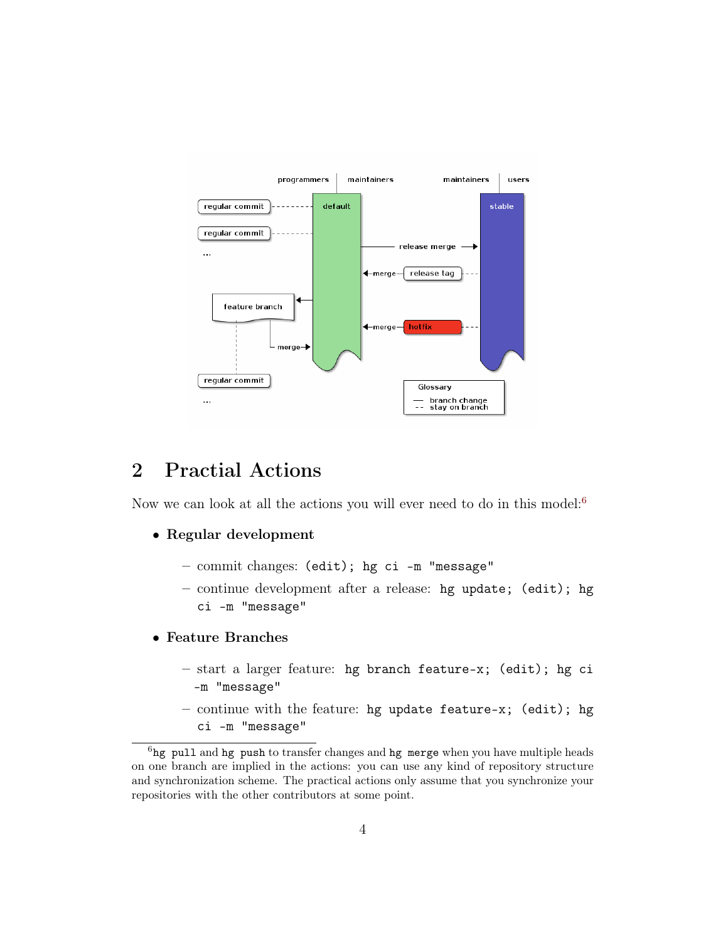

## <span id="page-3-0"></span>2 Practial Actions

Now we can look at all the actions you will ever need to do in this model:<sup>[6](#page-3-1)</sup>

#### • Regular development

- commit changes: (edit); hg ci -m "message"
- continue development after a release: hg update; (edit); hg ci -m "message"
- Feature Branches
	- start a larger feature: hg branch feature-x; (edit); hg ci -m "message"
	- continue with the feature: hg update feature-x; (edit); hg ci -m "message"

<span id="page-3-1"></span> $6$ hg pull and hg push to transfer changes and hg merge when you have multiple heads on one branch are implied in the actions: you can use any kind of repository structure and synchronization scheme. The practical actions only assume that you synchronize your repositories with the other contributors at some point.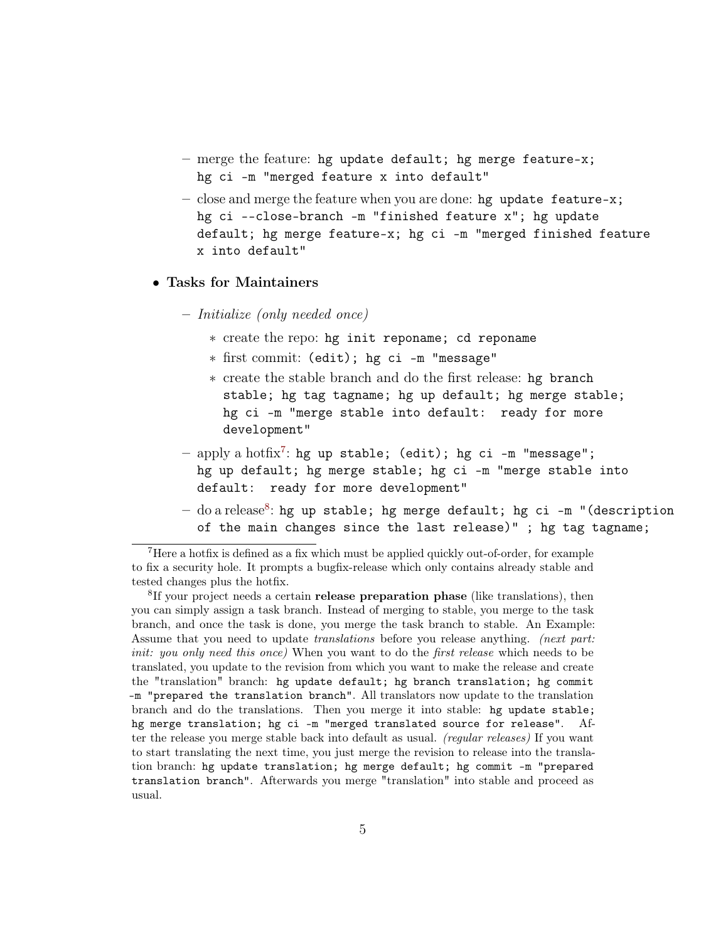- merge the feature: hg update default; hg merge feature-x; hg ci -m "merged feature x into default"
- close and merge the feature when you are done: hg update feature-x; hg ci --close-branch -m "finished feature x"; hg update default; hg merge feature-x; hg ci -m "merged finished feature x into default"

#### • Tasks for Maintainers

- Initialize (only needed once)
	- ∗ create the repo: hg init reponame; cd reponame
	- ∗ first commit: (edit); hg ci -m "message"
	- ∗ create the stable branch and do the first release: hg branch stable; hg tag tagname; hg up default; hg merge stable; hg ci -m "merge stable into default: ready for more development"
- $-$  apply a hotfix<sup>[7](#page-4-0)</sup>: hg up stable; (edit); hg ci -m "message"; hg up default; hg merge stable; hg ci -m "merge stable into default: ready for more development"
- $-$  do a release $^{8}$  $^{8}$  $^{8}$ : hg up stable; hg merge default; hg ci -m "(description of the main changes since the last release)" ; hg tag tagname;

<span id="page-4-0"></span><sup>7</sup>Here a hotfix is defined as a fix which must be applied quickly out-of-order, for example to fix a security hole. It prompts a bugfix-release which only contains already stable and tested changes plus the hotfix.

<span id="page-4-1"></span><sup>8</sup>If your project needs a certain **release preparation phase** (like translations), then you can simply assign a task branch. Instead of merging to stable, you merge to the task branch, and once the task is done, you merge the task branch to stable. An Example: Assume that you need to update translations before you release anything. (next part: init: you only need this once) When you want to do the first release which needs to be translated, you update to the revision from which you want to make the release and create the "translation" branch: hg update default; hg branch translation; hg commit -m "prepared the translation branch". All translators now update to the translation branch and do the translations. Then you merge it into stable: hg update stable; hg merge translation; hg ci -m "merged translated source for release". After the release you merge stable back into default as usual. (regular releases) If you want to start translating the next time, you just merge the revision to release into the translation branch: hg update translation; hg merge default; hg commit -m "prepared translation branch". Afterwards you merge "translation" into stable and proceed as usual.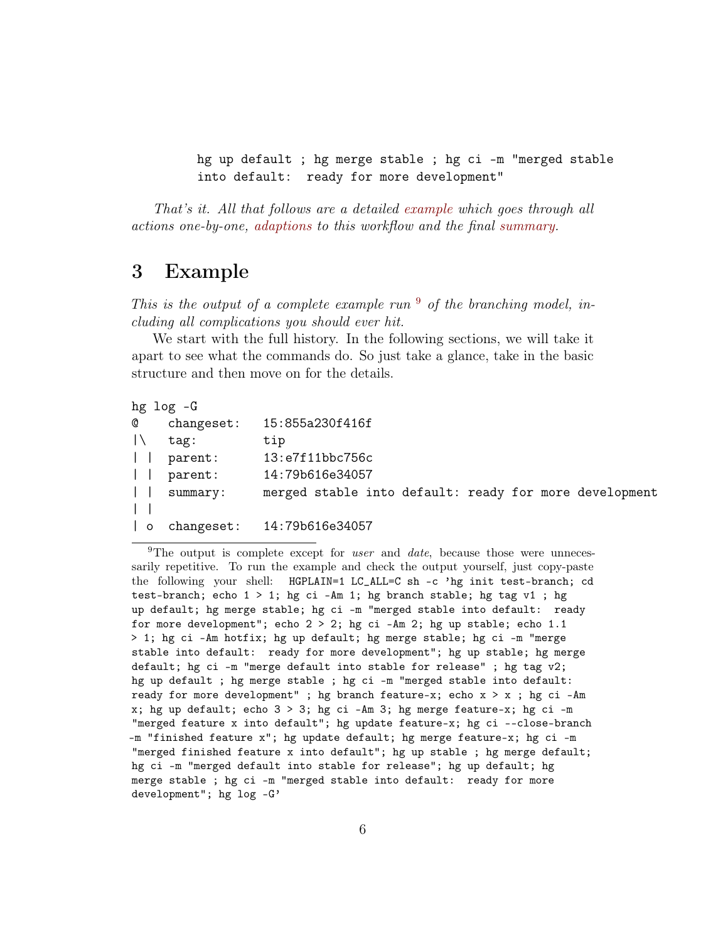hg up default ; hg merge stable ; hg ci -m "merged stable into default: ready for more development"

That's it. All that follows are a detailed [example](#page-5-0) which goes through all actions one-by-one, [adaptions](#page-14-0) to this workflow and the final [summary.](#page-22-0)

### <span id="page-5-0"></span>3 Example

This is the output of a complete example run  $9$  of the branching model, including all complications you should ever hit.

We start with the full history. In the following sections, we will take it apart to see what the commands do. So just take a glance, take in the basic structure and then move on for the details.

|                          | $hg$ $log$ $-G$ |                                                        |
|--------------------------|-----------------|--------------------------------------------------------|
| Q                        | changeset:      | 15:855a230f416f                                        |
| $\perp$                  | $\texttt{tag}:$ | tip                                                    |
| $\perp$                  | parent:         | 13:e7f11bbc756c                                        |
| $\perp$                  | parent:         | 14:79b616e34057                                        |
| $\mathbf{1}$             | summary:        | merged stable into default: ready for more development |
|                          |                 |                                                        |
| $\overline{\phantom{a}}$ |                 | changeset: 14:79b616e34057                             |

<span id="page-5-1"></span><sup>9</sup>The output is complete except for *user* and *date*, because those were unnecessarily repetitive. To run the example and check the output yourself, just copy-paste the following your shell: HGPLAIN=1 LC\_ALL=C sh -c 'hg init test-branch; cd test-branch; echo  $1 > 1$ ; hg ci -Am 1; hg branch stable; hg tag v1; hg up default; hg merge stable; hg ci -m "merged stable into default: ready for more development"; echo  $2 > 2$ ; hg ci -Am 2; hg up stable; echo 1.1 > 1; hg ci -Am hotfix; hg up default; hg merge stable; hg ci -m "merge stable into default: ready for more development"; hg up stable; hg merge default; hg ci -m "merge default into stable for release" ; hg tag v2; hg up default ; hg merge stable ; hg ci -m "merged stable into default: ready for more development" ; hg branch feature-x; echo  $x > x$  ; hg ci -Am x; hg up default; echo  $3 > 3$ ; hg ci -Am 3; hg merge feature-x; hg ci -m "merged feature x into default"; hg update feature-x; hg ci --close-branch -m "finished feature x"; hg update default; hg merge feature-x; hg ci -m "merged finished feature x into default"; hg up stable ; hg merge default; hg ci -m "merged default into stable for release"; hg up default; hg merge stable ; hg ci -m "merged stable into default: ready for more development"; hg log -G'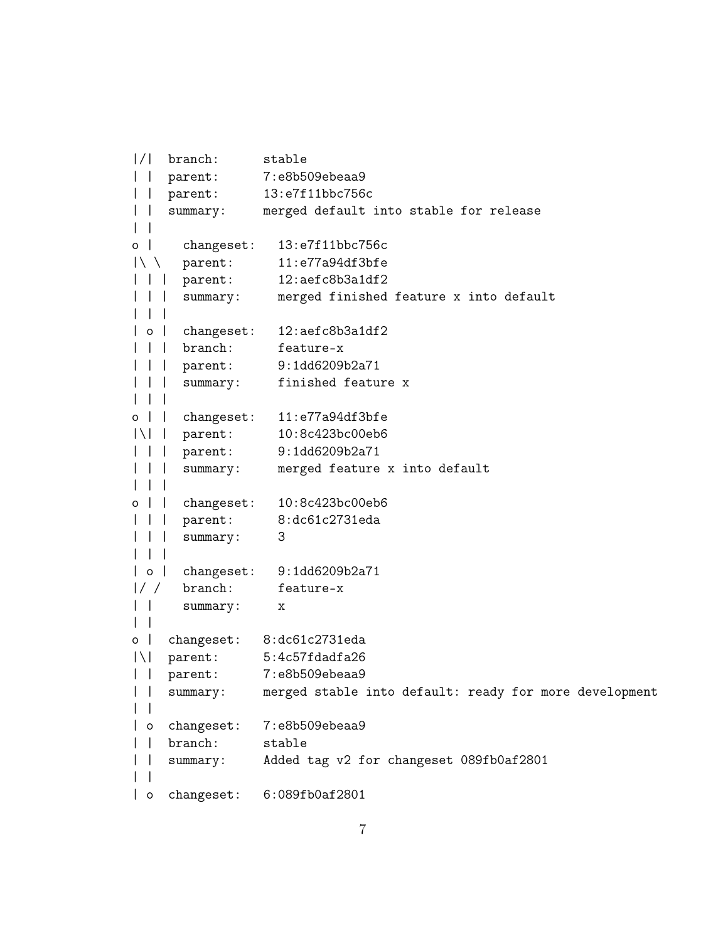```
|/| branch: stable
| | parent: 7:e8b509ebeaa9
| | parent: 13:e7f11bbc756c
| | summary: merged default into stable for release
\| \cdot \|o | changeset: 13:e7f11bbc756c
|\ \ parent: 11:e77a94df3bfe
| | | parent: 12:aefc8b3a1df2
| | | summary: merged finished feature x into default
| | |
| o | changeset: 12:aefc8b3a1df2
| | | branch: feature-x
| | | parent: 9:1dd6209b2a71
| | | summary: finished feature x
| | |
o | | changeset: 11:e77a94df3bfe
|\| | parent: 10:8c423bc00eb6
| | | parent: 9:1dd6209b2a71
| | | summary: merged feature x into default
| | |
o | | changeset: 10:8c423bc00eb6
| | | parent: 8:dc61c2731eda
| | | summary: 3
| | |
| o | changeset: 9:1dd6209b2a71
|/ / branch: feature-x
| | summary: x
\| \cdot \|o | changeset: 8:dc61c2731eda
|\| parent: 5:4c57fdadfa26
| | parent: 7:e8b509ebeaa9
| | summary: merged stable into default: ready for more development
\| \cdot \|| o changeset: 7:e8b509ebeaa9
| | branch: stable
| | summary: Added tag v2 for changeset 089fb0af2801
\| \cdot \|| o changeset: 6:089fb0af2801
```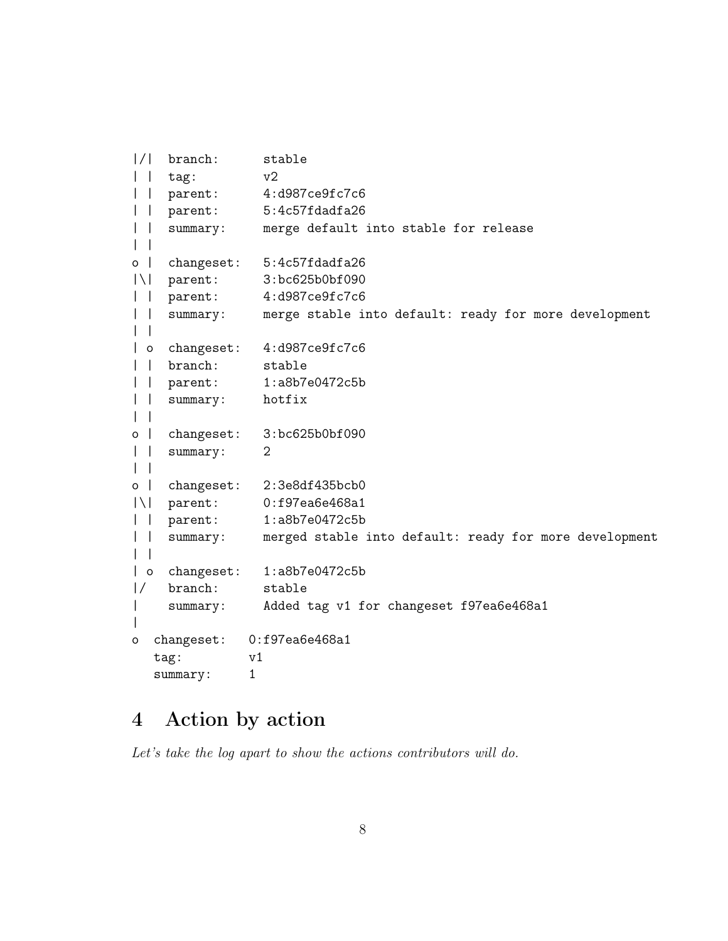```
|/| branch: stable
| | tag: v2
| | parent: 4:d987ce9fc7c6
| | parent: 5:4c57fdadfa26
| | summary: merge default into stable for release
| |
o | changeset: 5:4c57fdadfa26
|\| parent: 3:bc625b0bf090
| | parent: 4:d987ce9fc7c6
| | summary: merge stable into default: ready for more development
| |
| o changeset: 4:d987ce9fc7c6
| | branch: stable
| | parent: 1:a8b7e0472c5b
| | summary: hotfix
| |
o | changeset: 3:bc625b0bf090
| | summary: 2
\| \cdot \|o | changeset: 2:3e8df435bcb0
|\| parent: 0:f97ea6e468a1
| | parent: 1:a8b7e0472c5b
| | summary: merged stable into default: ready for more development
| |
| o changeset: 1:a8b7e0472c5b
|/ branch: stable
| summary: Added tag v1 for changeset f97ea6e468a1
|
o changeset: 0:f97ea6e468a1
  tag: v1
  summary: 1
```
### <span id="page-7-0"></span>4 Action by action

Let's take the log apart to show the actions contributors will do.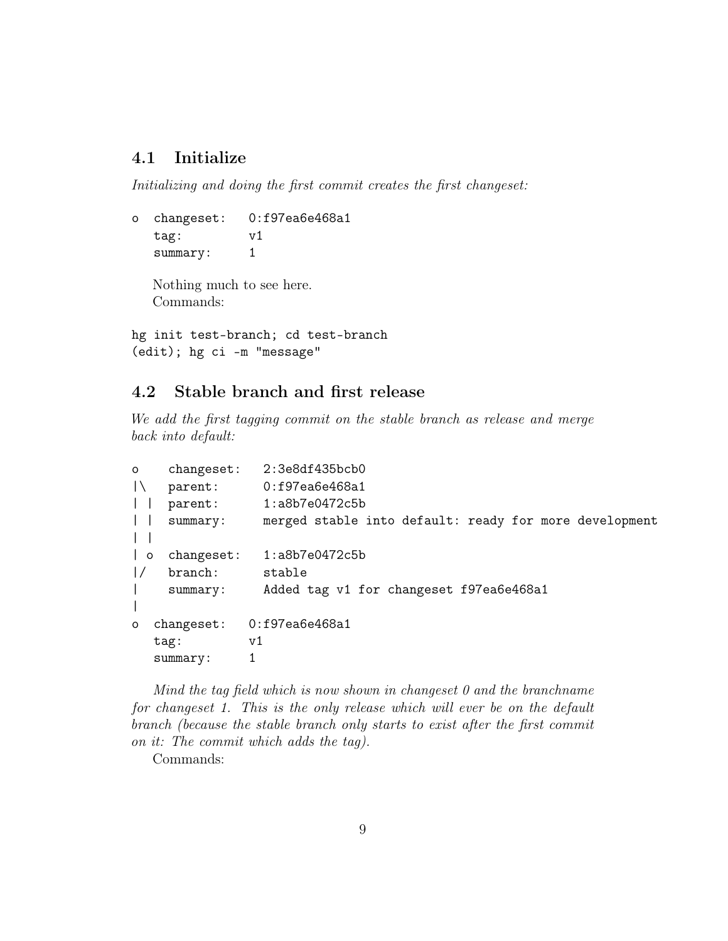### <span id="page-8-0"></span>4.1 Initialize

Initializing and doing the first commit creates the first changeset:

o changeset: 0:f97ea6e468a1 tag: v1 summary: 1

Nothing much to see here. Commands:

hg init test-branch; cd test-branch (edit); hg ci -m "message"

#### <span id="page-8-1"></span>4.2 Stable branch and first release

We add the first tagging commit on the stable branch as release and merge back into default:

| $\circ$                  | changeset:  | 2:3e8df435bcb0                                         |  |  |
|--------------------------|-------------|--------------------------------------------------------|--|--|
| $\mathsf{I}\setminus$    | parent:     | 0:f97ea6e468a1                                         |  |  |
| $\Box$                   | parent:     | $1:$ a $8b7e0472c5b$                                   |  |  |
|                          | summary:    | merged stable into default: ready for more development |  |  |
|                          |             |                                                        |  |  |
| $\overline{\phantom{0}}$ | changeset:  | $1:$ a $8b7e0472c5b$                                   |  |  |
| $\frac{1}{2}$            | branch:     | stable                                                 |  |  |
|                          | summary:    | Added tag v1 for changeset f97ea6e468a1                |  |  |
|                          |             |                                                        |  |  |
| $\circ$                  | change set: | 0:f97ea6e468a1                                         |  |  |
|                          | tag:        | v1                                                     |  |  |
|                          | summary:    |                                                        |  |  |

Mind the tag field which is now shown in changeset 0 and the branchname for changeset 1. This is the only release which will ever be on the default branch (because the stable branch only starts to exist after the first commit on it: The commit which adds the tag).

Commands: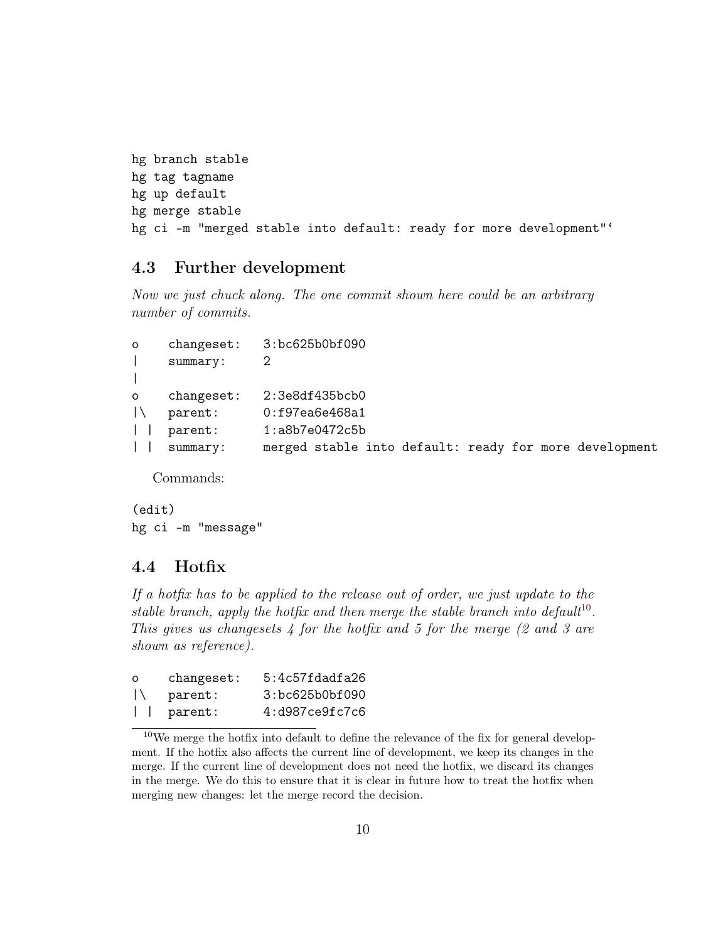```
hg branch stable
hg tag tagname
hg up default
hg merge stable
hg ci -m "merged stable into default: ready for more development"'
```
#### <span id="page-9-0"></span>4.3 Further development

Now we just chuck along. The one commit shown here could be an arbitrary number of commits.

```
o changeset: 3:bc625b0bf090
| summary: 2
|
o changeset: 2:3e8df435bcb0
|\ parent: 0:f97ea6e468a1
| | parent: 1:a8b7e0472c5b
| | summary: merged stable into default: ready for more development
```
Commands:

(edit) hg ci -m "message"

#### <span id="page-9-1"></span>4.4 Hotfix

If a hotfix has to be applied to the release out of order, we just update to the stable branch, apply the hotfix and then merge the stable branch into default<sup>[10](#page-9-2)</sup>. This gives us changesets  $4$  for the hotfix and 5 for the merge (2 and 3 are shown as reference).

| $\circ$ | changeset:            | $5:4c57f$ dad $f$ a26 |
|---------|-----------------------|-----------------------|
| $\perp$ | parent:               | 3:bc625b0bf090        |
|         | $\vert \vert$ parent: | 4:d987ce9fc7c6        |

<span id="page-9-2"></span> $10$ We merge the hotfix into default to define the relevance of the fix for general development. If the hotfix also affects the current line of development, we keep its changes in the merge. If the current line of development does not need the hotfix, we discard its changes in the merge. We do this to ensure that it is clear in future how to treat the hotfix when merging new changes: let the merge record the decision.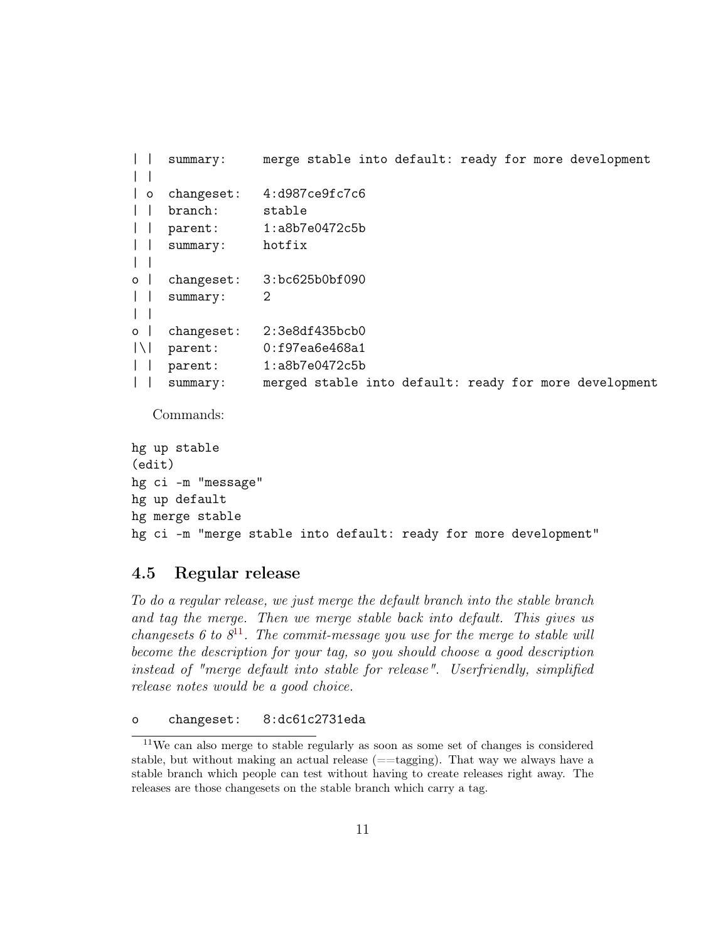```
| | summary: merge stable into default: ready for more development
| |
| o changeset: 4:d987ce9fc7c6
 | | branch: stable
    parent: 1:a8b7e0472c5b
 | summary: hotfix
\|o | changeset: 3:bc625b0bf090
| | summary: 2
| |
o | changeset: 2:3e8df435bcb0
|\| parent: 0:f97ea6e468a1
| | parent: 1:a8b7e0472c5b
| | summary: merged stable into default: ready for more development
```
Commands:

```
hg up stable
(edit)
hg ci -m "message"
hg up default
hg merge stable
hg ci -m "merge stable into default: ready for more development"
```
#### <span id="page-10-0"></span>4.5 Regular release

To do a regular release, we just merge the default branch into the stable branch and tag the merge. Then we merge stable back into default. This gives us changesets 6 to  $8^{11}$  $8^{11}$  $8^{11}$ . The commit-message you use for the merge to stable will become the description for your tag, so you should choose a good description instead of "merge default into stable for release". Userfriendly, simplified release notes would be a good choice.

```
o changeset: 8:dc61c2731eda
```
<span id="page-10-1"></span><sup>11</sup>We can also merge to stable regularly as soon as some set of changes is considered stable, but without making an actual release  $(==taging)$ . That way we always have a stable branch which people can test without having to create releases right away. The releases are those changesets on the stable branch which carry a tag.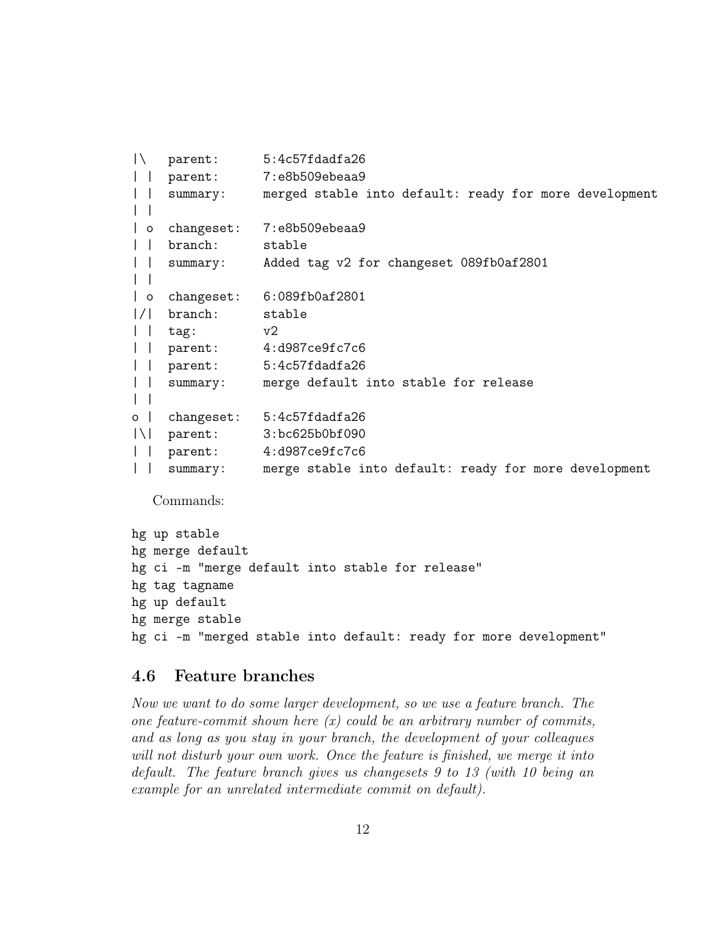```
|\ parent: 5:4c57fdadfa26
| | parent: 7:e8b509ebeaa9
| | summary: merged stable into default: ready for more development
\| \cdot \|| o changeset: 7:e8b509ebeaa9
| | branch: stable
| | summary: Added tag v2 for changeset 089fb0af2801
| |
| o changeset: 6:089fb0af2801
|/| branch: stable
| | tag: v2
| | parent: 4:d987ce9fc7c6
| | parent: 5:4c57fdadfa26
| | summary: merge default into stable for release
| |
o | changeset: 5:4c57fdadfa26
|\| parent: 3:bc625b0bf090
| | parent: 4:d987ce9fc7c6
| | summary: merge stable into default: ready for more development
```
Commands:

```
hg up stable
hg merge default
hg ci -m "merge default into stable for release"
hg tag tagname
hg up default
hg merge stable
hg ci -m "merged stable into default: ready for more development"
```
#### <span id="page-11-0"></span>4.6 Feature branches

Now we want to do some larger development, so we use a feature branch. The one feature-commit shown here  $(x)$  could be an arbitrary number of commits, and as long as you stay in your branch, the development of your colleagues will not disturb your own work. Once the feature is finished, we merge it into default. The feature branch gives us changesets 9 to 13 (with 10 being an example for an unrelated intermediate commit on default).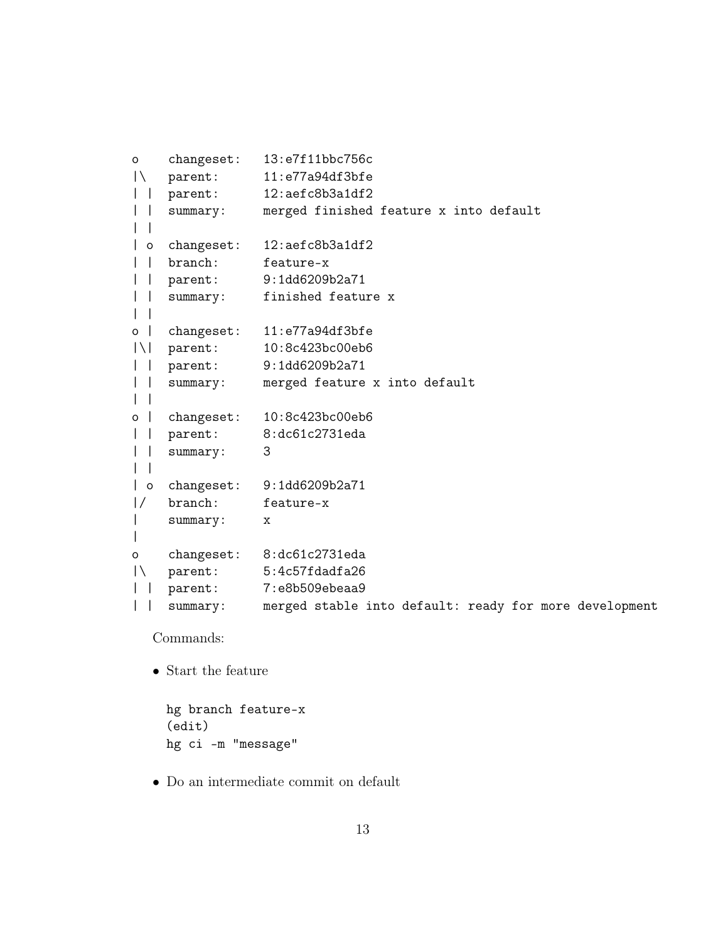```
o changeset: 13:e7f11bbc756c
|\ parent: 11:e77a94df3bfe
| | parent: 12:aefc8b3a1df2
| | summary: merged finished feature x into default
\| \cdot \|| o changeset: 12:aefc8b3a1df2
| | branch: feature-x
| | parent: 9:1dd6209b2a71
| | summary: finished feature x
| \cdot |o | changeset: 11:e77a94df3bfe
|\| parent: 10:8c423bc00eb6
| | parent: 9:1dd6209b2a71
| | summary: merged feature x into default
\vert \verto | changeset: 10:8c423bc00eb6
| | parent: 8:dc61c2731eda
| | summary: 3
| \cdot || o changeset: 9:1dd6209b2a71
|/ branch: feature-x
| summary: x
\blacksquareo changeset: 8:dc61c2731eda
|\ parent: 5:4c57fdadfa26
| | parent: 7:e8b509ebeaa9
| | summary: merged stable into default: ready for more development
```
Commands:

• Start the feature

```
hg branch feature-x
(edit)
hg ci -m "message"
```
• Do an intermediate commit on default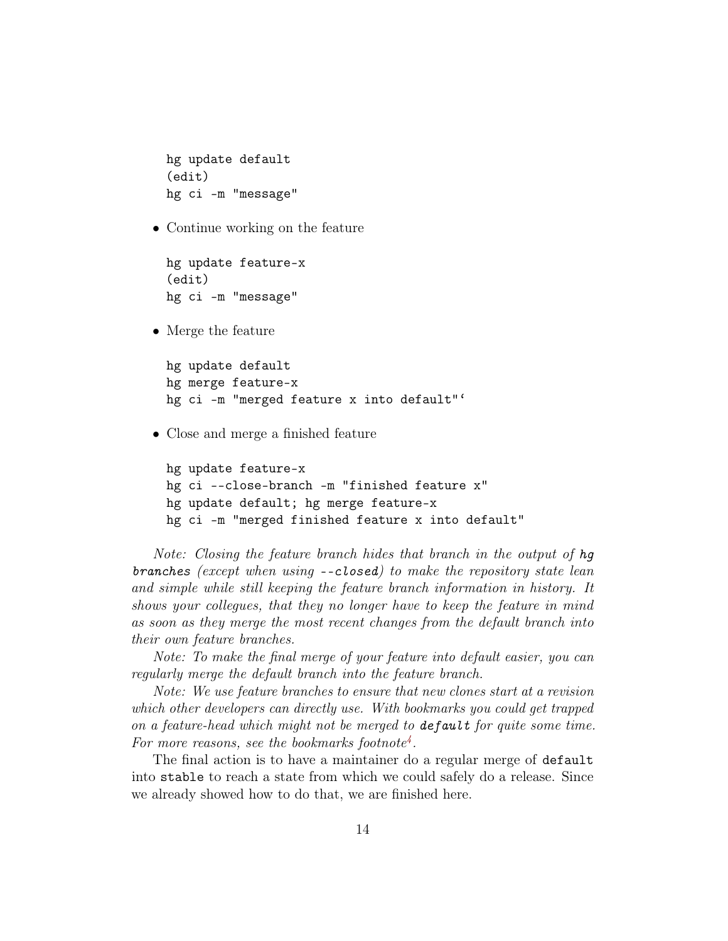```
hg update default
(edit)
hg ci -m "message"
```
• Continue working on the feature

```
hg update feature-x
(edit)
hg ci -m "message"
```
• Merge the feature

```
hg update default
hg merge feature-x
hg ci -m "merged feature x into default"'
```
• Close and merge a finished feature

```
hg update feature-x
hg ci --close-branch -m "finished feature x"
hg update default; hg merge feature-x
hg ci -m "merged finished feature x into default"
```
Note: Closing the feature branch hides that branch in the output of hg branches (except when using --closed) to make the repository state lean and simple while still keeping the feature branch information in history. It shows your collegues, that they no longer have to keep the feature in mind as soon as they merge the most recent changes from the default branch into their own feature branches.

Note: To make the final merge of your feature into default easier, you can regularly merge the default branch into the feature branch.

Note: We use feature branches to ensure that new clones start at a revision which other developers can directly use. With bookmarks you could get trapped on a feature-head which might not be merged to default for quite some time. For more reasons, see the bookmarks footnote<sup>[4](#page-2-1)</sup>.

The final action is to have a maintainer do a regular merge of default into stable to reach a state from which we could safely do a release. Since we already showed how to do that, we are finished here.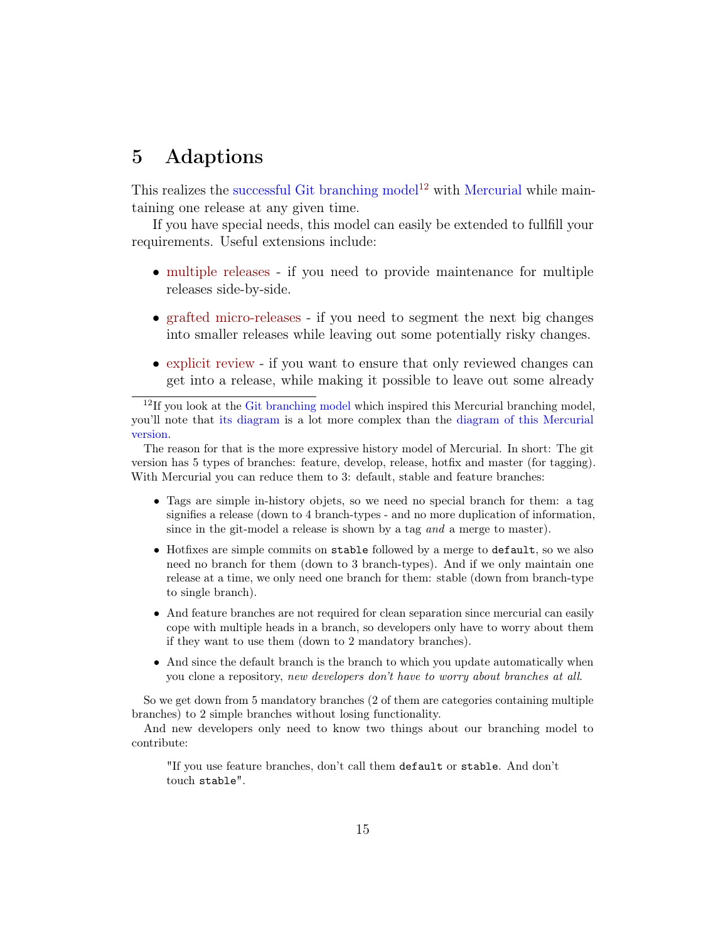### <span id="page-14-0"></span>5 Adaptions

This realizes the [successful Git branching model](http://nvie.com/posts/a-successful-git-branching-model/)<sup>[12](#page-14-1)</sup> with [Mercurial](http://mercurial.selenic.com) while maintaining one release at any given time.

If you have special needs, this model can easily be extended to fullfill your requirements. Useful extensions include:

- [multiple releases](#page-15-0) if you need to provide maintenance for multiple releases side-by-side.
- [grafted micro-releases](#page-17-0) if you need to segment the next big changes into smaller releases while leaving out some potentially risky changes.
- [explicit review](#page-20-0) if you want to ensure that only reviewed changes can get into a release, while making it possible to leave out some already

The reason for that is the more expressive history model of Mercurial. In short: The git version has 5 types of branches: feature, develop, release, hotfix and master (for tagging). With Mercurial you can reduce them to 3: default, stable and feature branches:

- Tags are simple in-history objets, so we need no special branch for them: a tag signifies a release (down to 4 branch-types - and no more duplication of information, since in the git-model a release is shown by a tag and a merge to master).
- Hotfixes are simple commits on stable followed by a merge to default, so we also need no branch for them (down to 3 branch-types). And if we only maintain one release at a time, we only need one branch for them: stable (down from branch-type to single branch).
- And feature branches are not required for clean separation since mercurial can easily cope with multiple heads in a branch, so developers only have to worry about them if they want to use them (down to 2 mandatory branches).
- And since the default branch is the branch to which you update automatically when you clone a repository, new developers don't have to worry about branches at all.

So we get down from 5 mandatory branches (2 of them are categories containing multiple branches) to 2 simple branches without losing functionality.

And new developers only need to know two things about our branching model to contribute:

"If you use feature branches, don't call them default or stable. And don't touch stable".

<span id="page-14-1"></span> $12$ If you look at the [Git branching model](http://nvie.com/posts/a-successful-git-branching-model/) which inspired this Mercurial branching model, you'll note that [its diagram](https://nvie.com/files/Git-branching-model.pdf) is a lot more complex than the [diagram of this Mercurial](https://www.draketo.de/files/hgbranchingoverview_2.png) [version.](https://www.draketo.de/files/hgbranchingoverview_2.png)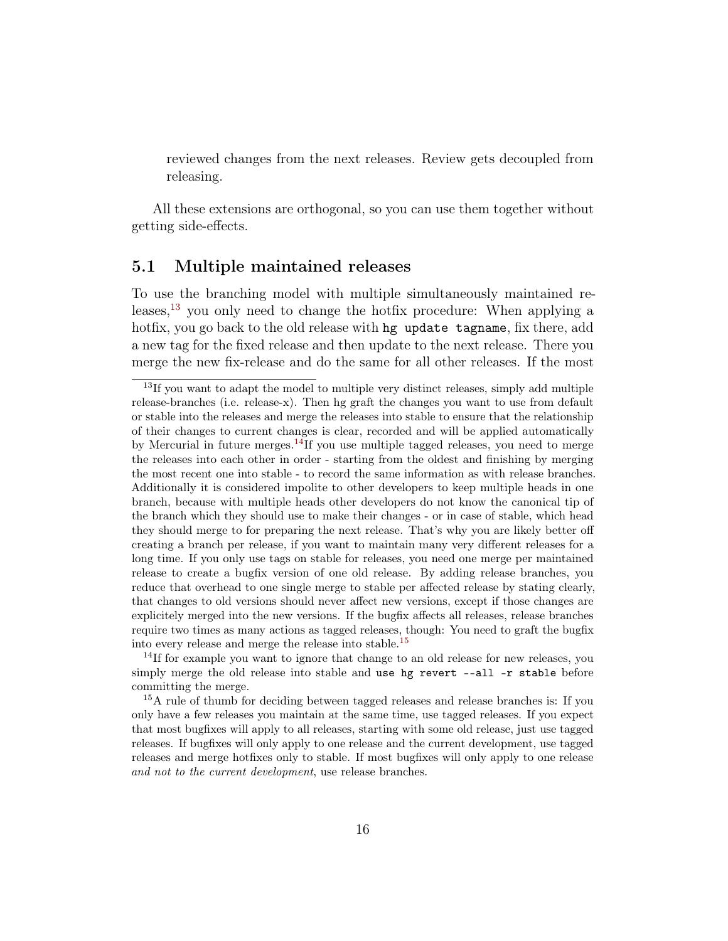reviewed changes from the next releases. Review gets decoupled from releasing.

All these extensions are orthogonal, so you can use them together without getting side-effects.

#### <span id="page-15-0"></span>5.1 Multiple maintained releases

To use the branching model with multiple simultaneously maintained re-leases,<sup>[13](#page-15-1)</sup> you only need to change the hotfix procedure: When applying a hotfix, you go back to the old release with hg update tagname, fix there, add a new tag for the fixed release and then update to the next release. There you merge the new fix-release and do the same for all other releases. If the most

<sup>14</sup>If for example you want to ignore that change to an old release for new releases, you simply merge the old release into stable and use hg revert --all -r stable before committing the merge.

<sup>15</sup>A rule of thumb for deciding between tagged releases and release branches is: If you only have a few releases you maintain at the same time, use tagged releases. If you expect that most bugfixes will apply to all releases, starting with some old release, just use tagged releases. If bugfixes will only apply to one release and the current development, use tagged releases and merge hotfixes only to stable. If most bugfixes will only apply to one release and not to the current development, use release branches.

<span id="page-15-1"></span> $13$ If you want to adapt the model to multiple very distinct releases, simply add multiple release-branches (i.e. release-x). Then hg graft the changes you want to use from default or stable into the releases and merge the releases into stable to ensure that the relationship of their changes to current changes is clear, recorded and will be applied automatically by Mercurial in future merges.<sup>[14](#page-0-0)</sup>If you use multiple tagged releases, you need to merge the releases into each other in order - starting from the oldest and finishing by merging the most recent one into stable - to record the same information as with release branches. Additionally it is considered impolite to other developers to keep multiple heads in one branch, because with multiple heads other developers do not know the canonical tip of the branch which they should use to make their changes - or in case of stable, which head they should merge to for preparing the next release. That's why you are likely better off creating a branch per release, if you want to maintain many very different releases for a long time. If you only use tags on stable for releases, you need one merge per maintained release to create a bugfix version of one old release. By adding release branches, you reduce that overhead to one single merge to stable per affected release by stating clearly, that changes to old versions should never affect new versions, except if those changes are explicitely merged into the new versions. If the bugfix affects all releases, release branches require two times as many actions as tagged releases, though: You need to graft the bugfix into every release and merge the release into stable.[15](#page-0-0)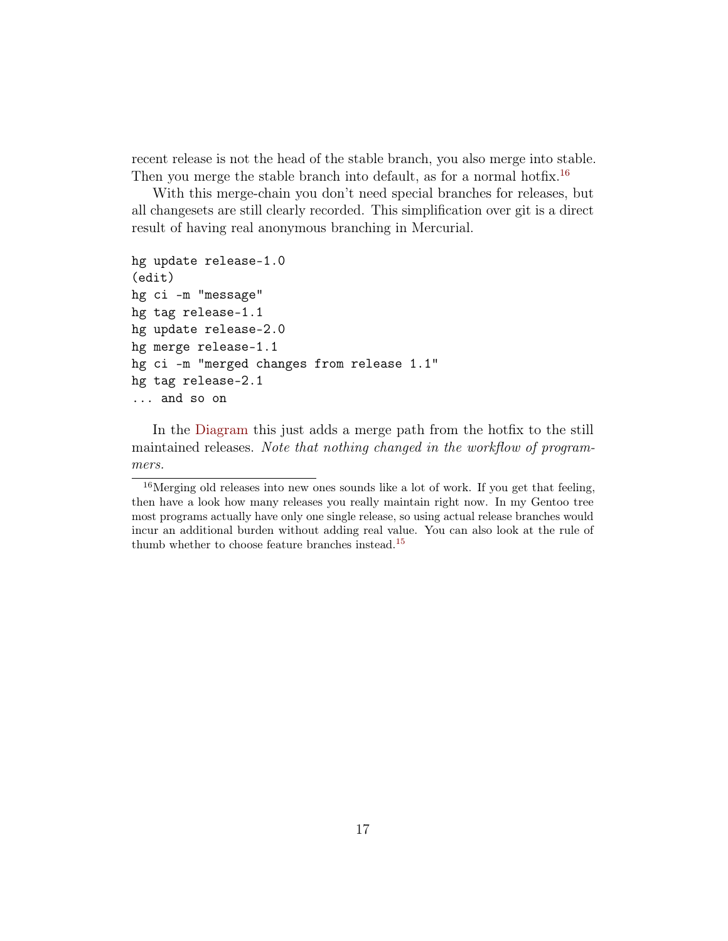recent release is not the head of the stable branch, you also merge into stable. Then you merge the stable branch into default, as for a normal hotfix.<sup>[16](#page-16-0)</sup>

With this merge-chain you don't need special branches for releases, but all changesets are still clearly recorded. This simplification over git is a direct result of having real anonymous branching in Mercurial.

```
hg update release-1.0
(edit)
hg ci -m "message"
hg tag release-1.1
hg update release-2.0
hg merge release-1.1
hg ci -m "merged changes from release 1.1"
hg tag release-2.1
... and so on
```
In the [Diagram](#page-2-0) this just adds a merge path from the hotfix to the still maintained releases. Note that nothing changed in the workflow of programmers.

<span id="page-16-0"></span><sup>16</sup>Merging old releases into new ones sounds like a lot of work. If you get that feeling, then have a look how many releases you really maintain right now. In my Gentoo tree most programs actually have only one single release, so using actual release branches would incur an additional burden without adding real value. You can also look at the rule of thumb whether to choose feature branches instead.[15](#page-15-1)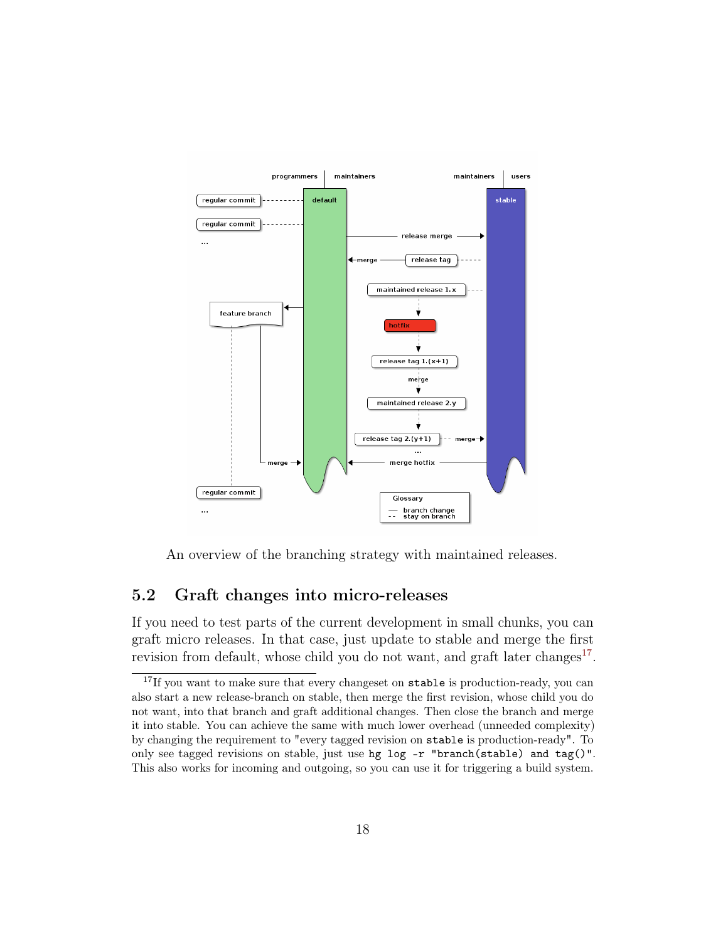

An overview of the branching strategy with maintained releases.

#### <span id="page-17-0"></span>5.2 Graft changes into micro-releases

If you need to test parts of the current development in small chunks, you can graft micro releases. In that case, just update to stable and merge the first revision from default, whose child you do not want, and graft later changes<sup>[17](#page-17-1)</sup>.

<span id="page-17-1"></span><sup>&</sup>lt;sup>17</sup>If you want to make sure that every changeset on stable is production-ready, you can also start a new release-branch on stable, then merge the first revision, whose child you do not want, into that branch and graft additional changes. Then close the branch and merge it into stable. You can achieve the same with much lower overhead (unneeded complexity) by changing the requirement to "every tagged revision on stable is production-ready". To only see tagged revisions on stable, just use hg log -r "branch(stable) and tag()". This also works for incoming and outgoing, so you can use it for triggering a build system.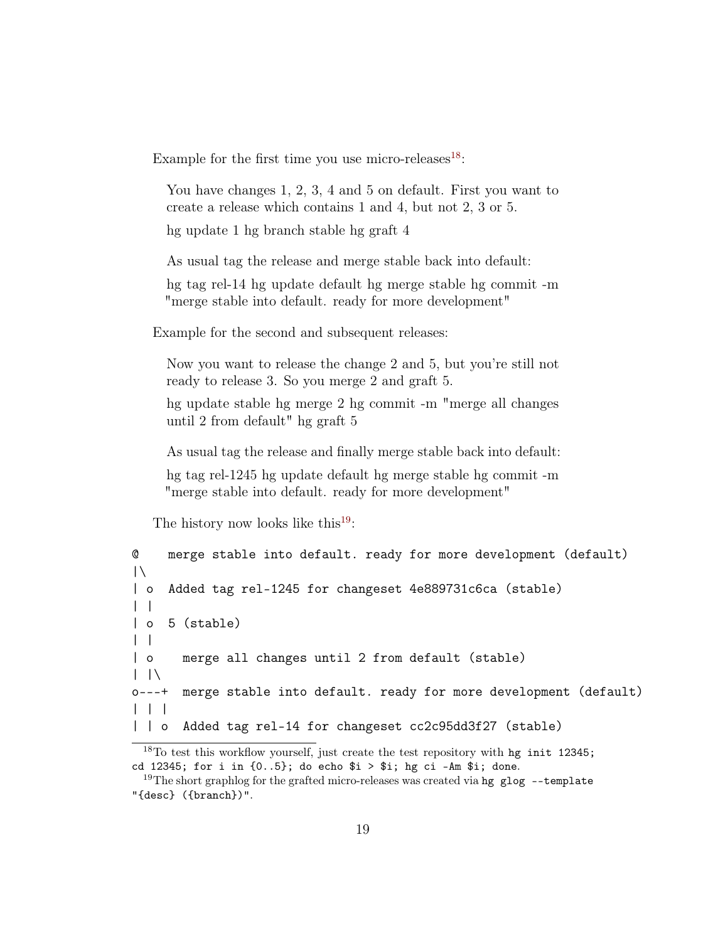Example for the first time you use micro-releases  $18$ :

You have changes 1, 2, 3, 4 and 5 on default. First you want to create a release which contains 1 and 4, but not 2, 3 or 5.

hg update 1 hg branch stable hg graft 4

As usual tag the release and merge stable back into default:

hg tag rel-14 hg update default hg merge stable hg commit -m "merge stable into default. ready for more development"

Example for the second and subsequent releases:

Now you want to release the change 2 and 5, but you're still not ready to release 3. So you merge 2 and graft 5.

hg update stable hg merge 2 hg commit -m "merge all changes until 2 from default" hg graft 5

As usual tag the release and finally merge stable back into default:

hg tag rel-1245 hg update default hg merge stable hg commit -m "merge stable into default. ready for more development"

The history now looks like this<sup>[19](#page-18-1)</sup>:

```
@ merge stable into default. ready for more development (default)
|\setminus| o Added tag rel-1245 for changeset 4e889731c6ca (stable)
| |
| o 5 (stable)
| |
| o merge all changes until 2 from default (stable)
| \ \ | \ \ \ \o---+ merge stable into default. ready for more development (default)
| | |
| | o Added tag rel-14 for changeset cc2c95dd3f27 (stable)
```
<span id="page-18-0"></span><sup>18</sup>To test this workflow yourself, just create the test repository with hg init 12345; cd 12345; for i in  $\{0..5\}$ ; do echo  $i > i$ ; hg ci -Am  $i$ ; done.

<span id="page-18-1"></span><sup>&</sup>lt;sup>19</sup>The short graphlog for the grafted micro-releases was created via hg glog  $-$ -template "{desc} ({branch})".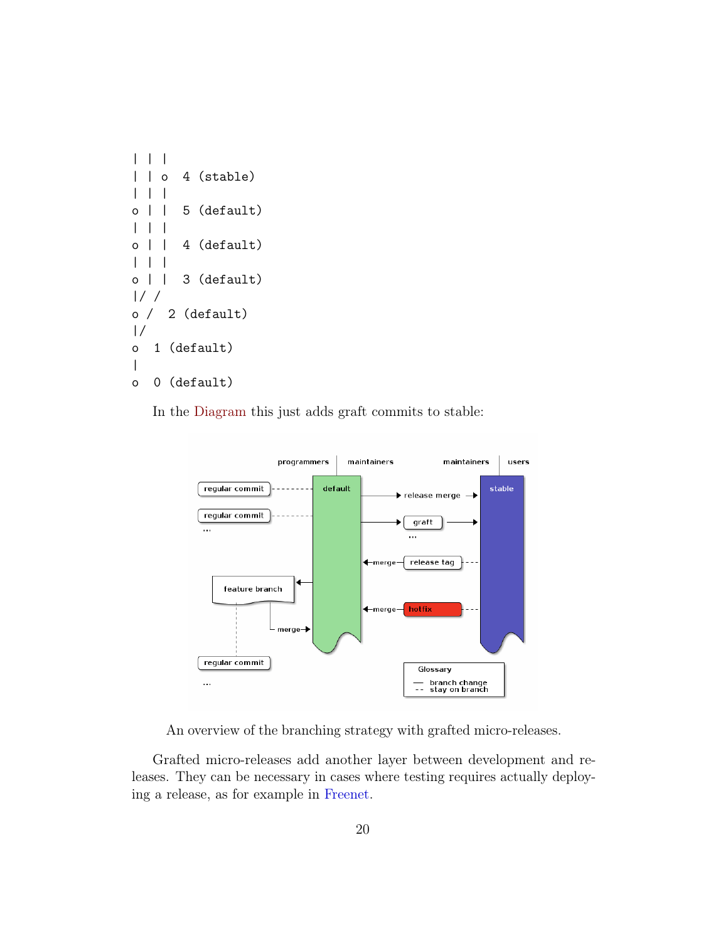

In the [Diagram](#page-2-0) this just adds graft commits to stable:



An overview of the branching strategy with grafted micro-releases.

Grafted micro-releases add another layer between development and releases. They can be necessary in cases where testing requires actually deploying a release, as for example in [Freenet.](http://freenetproject.org)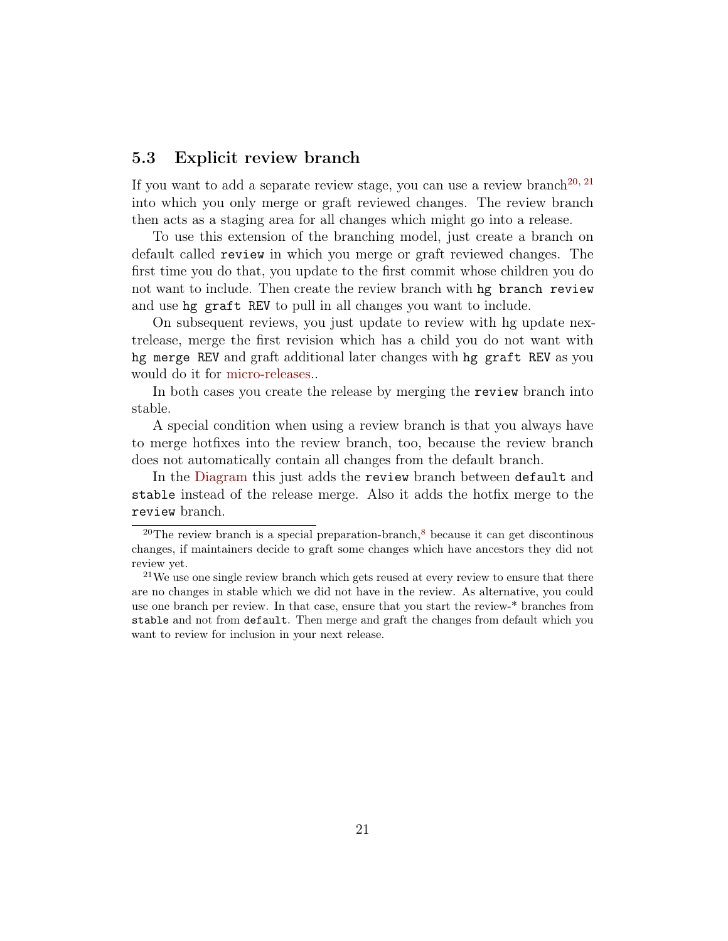#### <span id="page-20-0"></span>5.3 Explicit review branch

If you want to add a separate review stage, you can use a review branch<sup>[20,](#page-20-1) [21](#page-20-2)</sup> into which you only merge or graft reviewed changes. The review branch then acts as a staging area for all changes which might go into a release.

To use this extension of the branching model, just create a branch on default called review in which you merge or graft reviewed changes. The first time you do that, you update to the first commit whose children you do not want to include. Then create the review branch with hg branch review and use hg graft REV to pull in all changes you want to include.

On subsequent reviews, you just update to review with hg update nextrelease, merge the first revision which has a child you do not want with hg merge REV and graft additional later changes with hg graft REV as you would do it for [micro-releases.](#page-17-0).

In both cases you create the release by merging the review branch into stable.

A special condition when using a review branch is that you always have to merge hotfixes into the review branch, too, because the review branch does not automatically contain all changes from the default branch.

In the [Diagram](#page-2-0) this just adds the review branch between default and stable instead of the release merge. Also it adds the hotfix merge to the review branch.

<span id="page-20-1"></span> $20$ The review branch is a special preparation-branch, $8$  because it can get discontinous changes, if maintainers decide to graft some changes which have ancestors they did not review yet.

<span id="page-20-2"></span><sup>&</sup>lt;sup>21</sup>We use one single review branch which gets reused at every review to ensure that there are no changes in stable which we did not have in the review. As alternative, you could use one branch per review. In that case, ensure that you start the review-\* branches from stable and not from default. Then merge and graft the changes from default which you want to review for inclusion in your next release.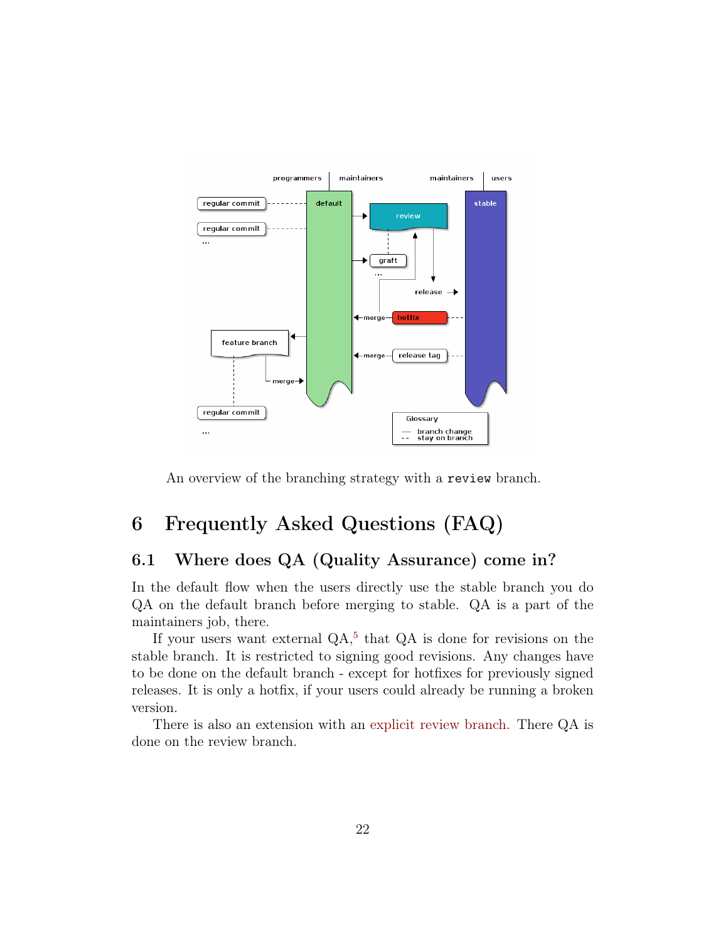

An overview of the branching strategy with a review branch.

# <span id="page-21-0"></span>6 Frequently Asked Questions (FAQ)

#### <span id="page-21-1"></span>6.1 Where does QA (Quality Assurance) come in?

In the default flow when the users directly use the stable branch you do QA on the default branch before merging to stable. QA is a part of the maintainers job, there.

If your users want external  $QA$ <sup>[5](#page-2-2)</sup>, that  $QA$  is done for revisions on the stable branch. It is restricted to signing good revisions. Any changes have to be done on the default branch - except for hotfixes for previously signed releases. It is only a hotfix, if your users could already be running a broken version.

There is also an extension with an [explicit review branch.](#page-20-0) There QA is done on the review branch.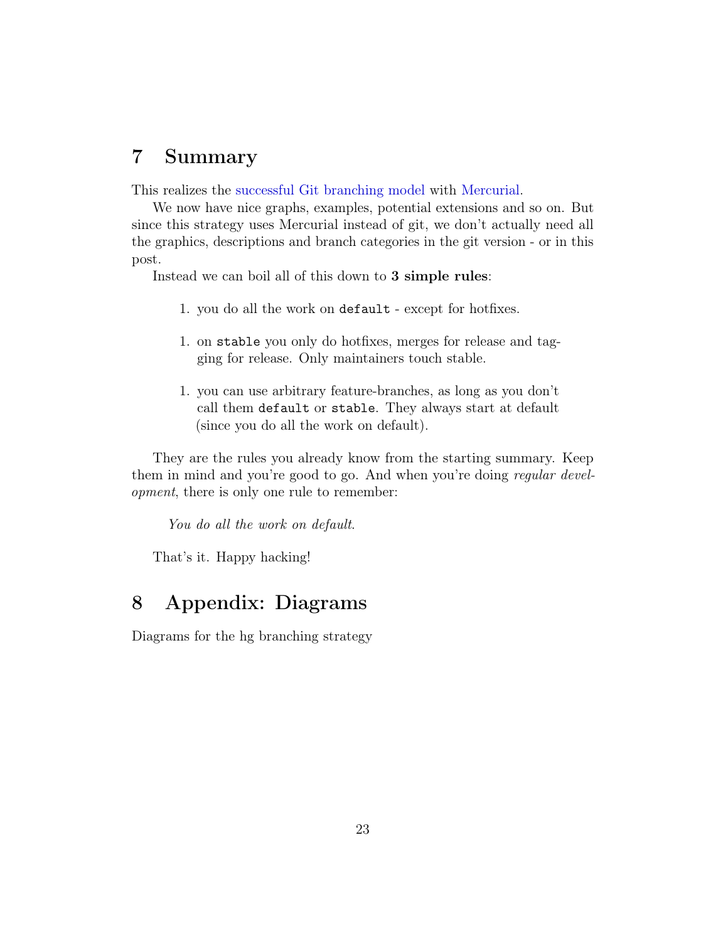### <span id="page-22-0"></span>7 Summary

This realizes the [successful Git branching model](http://nvie.com/posts/a-successful-git-branching-model/) with [Mercurial.](http://mercurial.selenic.com)

We now have nice graphs, examples, potential extensions and so on. But since this strategy uses Mercurial instead of git, we don't actually need all the graphics, descriptions and branch categories in the git version - or in this post.

Instead we can boil all of this down to 3 simple rules:

- 1. you do all the work on default except for hotfixes.
- 1. on stable you only do hotfixes, merges for release and tagging for release. Only maintainers touch stable.
- 1. you can use arbitrary feature-branches, as long as you don't call them default or stable. They always start at default (since you do all the work on default).

They are the rules you already know from the starting summary. Keep them in mind and you're good to go. And when you're doing *regular devel*opment, there is only one rule to remember:

You do all the work on default.

That's it. Happy hacking!

### <span id="page-22-1"></span>8 Appendix: Diagrams

Diagrams for the hg branching strategy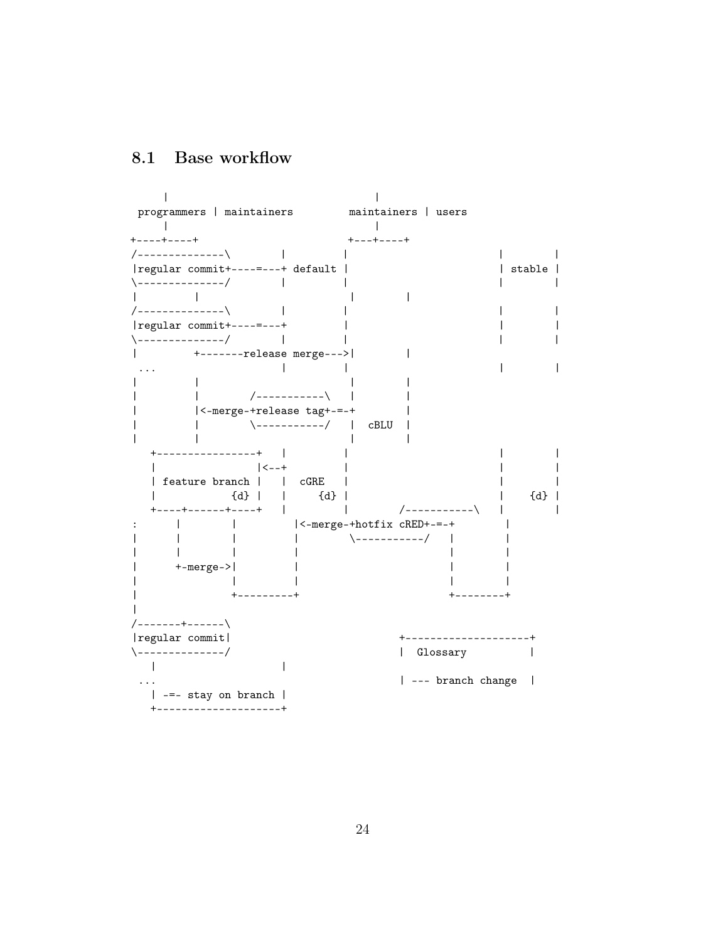### <span id="page-23-0"></span>8.1 Base workflow

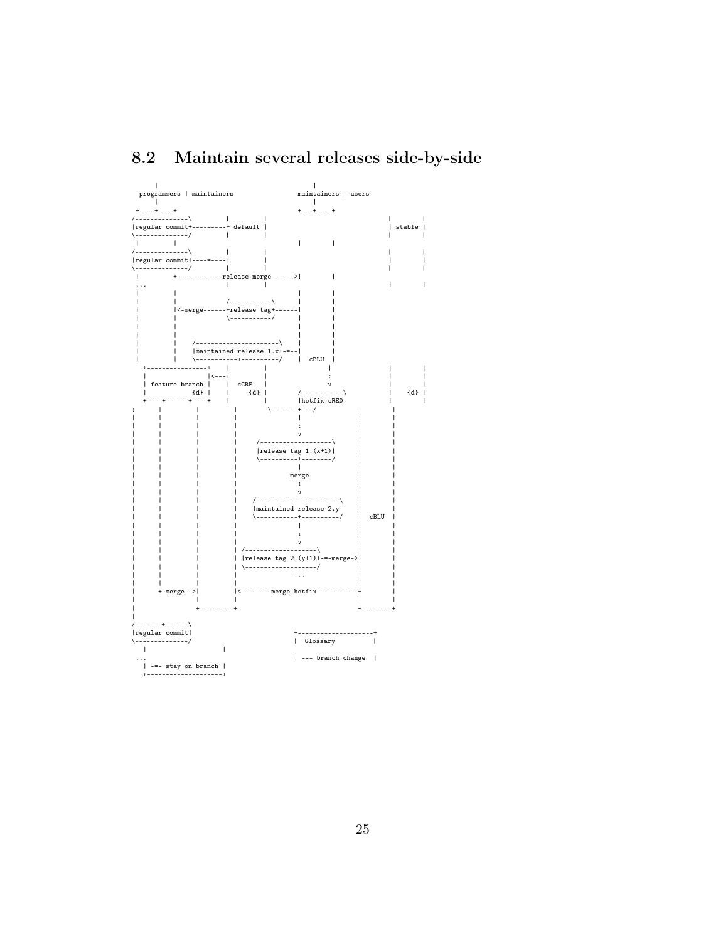#### <span id="page-24-0"></span>Maintain several releases side-by-side 8.2

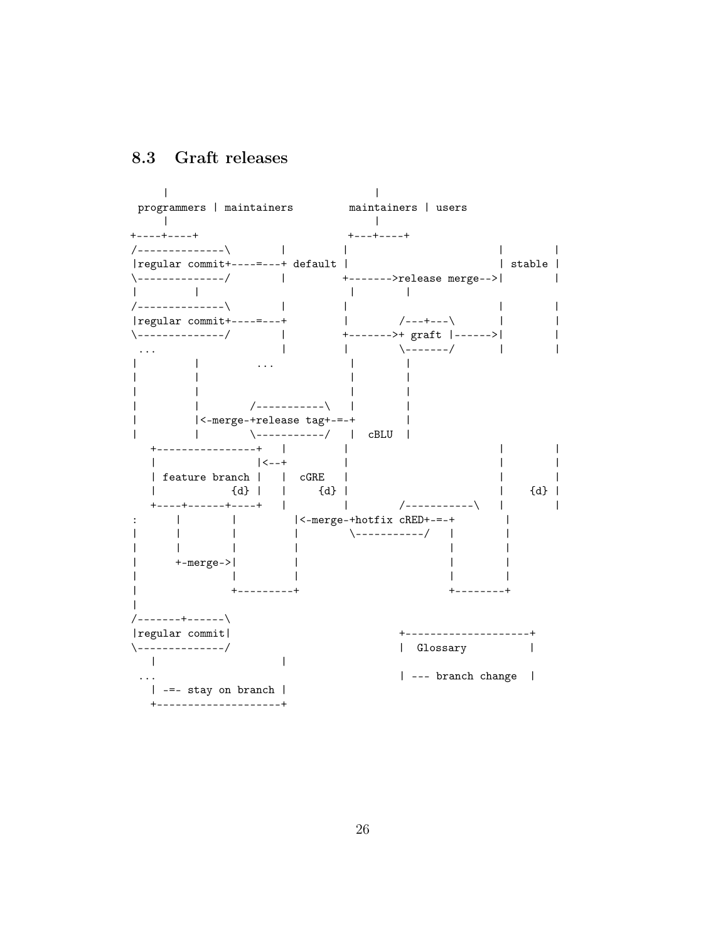<span id="page-25-0"></span>8.3 Graft releases

 $\Box$  $\perp$ programmers | maintainers maintainers | users  $\mathbb{R}$  $\sim$  1.  $+ - - - + + - - - +$  $+ - - + - - - - +$  $\sim 10$ /--------------\  $\overline{1}$  $\mathbf{1}$  and  $\mathbf{1}$ | stable | | regular commit + - - - - - - - + default | \-------------/ | +------->release merge--> and the contract of the contract of  $\mathbf{L}$  $\blacksquare$  $\Box$  $\sim$  1  $\sim$   $\sim$   $\sim$   $\sim$ /--------------\  $\mathbf{L}$  $\overline{1}$  $\mathbf{I}$ |regular commit+----=---+  $\Box$  $/$ ---+--- $\Box$  $\overline{1}$  $\sim$  100  $\pm$ +-------->+ graft |------>| \--------------/  $\overline{1}$  $\-\$  $\Box$  $\Box$  $\blacksquare$  $\mathbf{L}$  $\cdots$  $\mathbf{I}$  $\cdot$  . .  $\mathbf{I}$  $\mathbf{I}$  $\mathbf{I}$ -1  $\mathbf{I}$  $\mathbf{L}$  $\mathbf{L}$ |<-merge-+release tag+-=-+  $\mathbf{I}$ +----------------+ |  $\Box$  $\perp$  $\perp$  $\begin{array}{ccc} & | & & | & & \\ \hline \end{array}$  $\perp$  $\mathbf{I}$  $\perp$ | feature branch | | cGRE |  $\perp$  $\{d\}$  |  $\{d\}$  |  $\{d\}$  |  $\{d\}$  |  $\Box$ +----+------+----+ |  $\sim 10^{-10}$  .  $\overline{1}$  $|<-merge-+hotfix\ cRED+--+$  $\mathbf{L}$  $\mathbf{1}$  $\ddot{\cdot}$  $\overline{\phantom{0}}$  $\overline{1}$  $\mathbf{I}$  $\overline{1}$  $\overline{\phantom{a}}$  $\mathbb{R}^n$  $\Box$  $\overline{1}$  $\Box$  $\mathbf{I}$ +-merge->|  $\Box$  $\mathbf{I}$  $\mathbf{I}$  $\mathbf{I}$  $\overline{1}$  $+ - - - - - - - +$  $\mathbf{I}$  $+ - - - - - -$ /-------+------\ |regular commit| +--------------------+ \--------------/ | Glossary  $\overline{\phantom{a}}$  $\mathbf{I}$  $\mathbf{I}$ | --- branch change |  $\ldots$ | -=- stay on branch | +---------------------+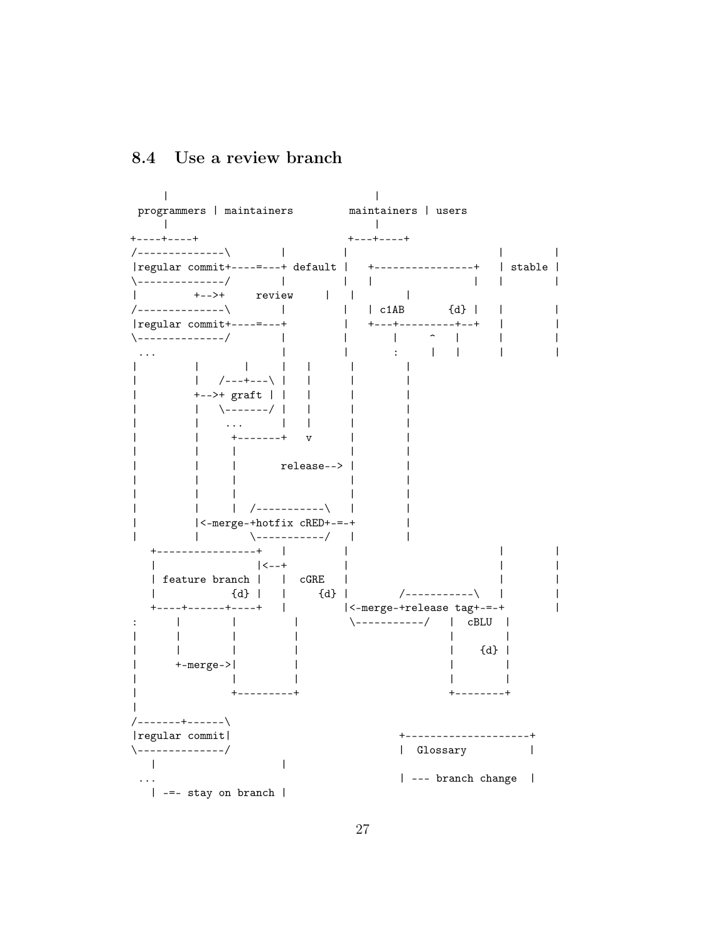### <span id="page-26-0"></span>8.4 Use a review branch

 $\perp$  $\mathbf{I}$ programmers | maintainers maintainers | users  $\Box$  $\Box$  $+ - - - + + - - - +$  $+ - - - + - - - - +$ /--------------\  $\sim$  1.  $\mathbf{I}$  $\perp$ | regular commit +----=---+ default | +----------------+ | stable |  $\backslash$ -------------/ |  $\Gamma$  and  $\Gamma$  $\sim$  1.  $\mathbf{I}$  $\mathbf{I}$  $\overline{1}$  $+-->+$  $\Box$  $\mathbf{L}$ review  $\Box$  $\Box$ /--------------\ **Controller**  $|$   $c1AB$  $\{d\}$  |  $\mathbf{L}$  $\perp$  $\overline{\phantom{a}}$ | regular commit +----=---+  $\mathbf{L}$  $+ - - - + - - - - - - - - + - +$  $\perp$  $\perp$  $\sim$   $-$ \-------------/  $\Box$  $\mathbf{I}$  $\mathbf{L}$  $\mathbf{1}$  $\mathbf{I}$  $\overline{1}$  $\mathbf{I}$  $\mathbf{I}$  $\sim$  1  $^{\circ}$  $\mathbf{L}$  $\blacksquare$  $\mathbf{I}$  $\overline{1}$  $\mathbf{1}$  $\mathbf{I}$  $\mathbf{I}$  $\mathbf{I}$  $\mathbf{I}$  $\perp$  $\Box$  $\perp$  $|$  /---+---\ |  $\Box$  $\mathbf{I}$  $\mathbf{I}$  $\perp$  $+-->+$  graft | |  $\mathbf{I}$  $\perp$  $\overline{1}$  $\mathbf{I}$  $\mathbf{I}$ \-------/ |  $\Box$  $\perp$  $\ldots$  $\mathbf{1}$   $\mathbf{1}$  $\overline{\phantom{a}}$  $\overline{1}$  $\mathbf{I}$  $+ - - - - - - +$  $\mathbf{I}$  $\mathbf{v}$  $\overline{\phantom{a}}$  $\mathbf{I}$  $\mathbf{I}$  $\overline{1}$ I.  $\mathbf{1}$ release--> |  $\mathbf{I}$  $\mathbf{I}$  $\mathbf{I}$  $\mathbf{I}$  $\mathbf{1}$  $\overline{1}$  $\perp$  $\mathbf{I}$  $\mathbf{1}$  $\mathbf{I}$  $\mathbf{L}$  $\mathcal{L}$ |<-merge-+hotfix cRED+-=-+  $\mathbf{I}$  $\overline{1}$  $+$ ----------------+ |  $\mathbf{L}$  $\mathbf{I}$  $\mathbf{I}$  $\perp$  $\vert$  < - - +  $\perp$  $\perp$  $\perp$ | feature branch | | cGRE |  $\{d\}$  |  $\mathbf{I}$  $\{d\}$  | | /------------\  $\sim$  1  $\sim 1$  . |<-merge-+release tag+-=-+  $+ - - - + - - - - - - + - - - +$  $\overline{1}$  $\mathbf{L}$  $\overline{1}$  $\-\$  - - - - - - - - / | cBLU |  $\cdot$  $\mathbf{I}$  $\overline{1}$  $\mathbf{I}$  $\overline{1}$  $\mathbf{I}$  $\{d\}$  |  $\mathbf{L}$  $\perp$  $\mathbf{I}$  $\mathbf{I}$  $+ - merge - > |$  $\overline{\phantom{a}}$  $\mathbf{I}$ I.  $\mathbf{I}$ --------- $\mathbf{I}$ /-------+------\ |regular commit| +--------------------+ \--------------/ | Glossary  $\overline{\phantom{a}}$  $\mathbf{I}$  $\mathbf{I}$ | --- branch change |  $\ldots$ | -=- stay on branch |